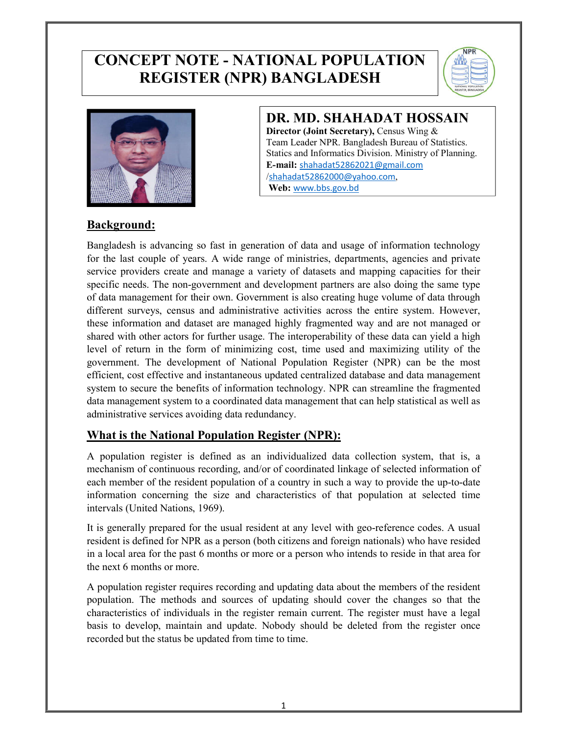# **CONCEPT NOTE - NATIONAL POPULATION REGISTER (NPR) BANGLADESH**





# **DR. MD. SHAHADAT HOSSAIN**

**Director (Joint Secretary),** Census Wing & Team Leader NPR. Bangladesh Bureau of Statistics. Statics and Informatics Division. Ministry of Planning. **E-mail:** shahadat52862021@gmail.com /shahadat52862000@yahoo.com, **Web:** www.bbs.gov.bd

#### **Background:**

Bangladesh is advancing so fast in generation of data and usage of information technology for the last couple of years. A wide range of ministries, departments, agencies and private service providers create and manage a variety of datasets and mapping capacities for their specific needs. The non-government and development partners are also doing the same type of data management for their own. Government is also creating huge volume of data through different surveys, census and administrative activities across the entire system. However, these information and dataset are managed highly fragmented way and are not managed or shared with other actors for further usage. The interoperability of these data can yield a high level of return in the form of minimizing cost, time used and maximizing utility of the government. The development of National Population Register (NPR) can be the most efficient, cost effective and instantaneous updated centralized database and data management system to secure the benefits of information technology. NPR can streamline the fragmented data management system to a coordinated data management that can help statistical as well as administrative services avoiding data redundancy.

#### **What is the National Population Register (NPR):**

A population register is defined as an individualized data collection system, that is, a mechanism of continuous recording, and/or of coordinated linkage of selected information of each member of the resident population of a country in such a way to provide the up-to-date information concerning the size and characteristics of that population at selected time intervals (United Nations, 1969).

It is generally prepared for the usual resident at any level with geo-reference codes. A usual resident is defined for NPR as a person (both citizens and foreign nationals) who have resided in a local area for the past 6 months or more or a person who intends to reside in that area for the next 6 months or more.

A population register requires recording and updating data about the members of the resident population. The methods and sources of updating should cover the changes so that the characteristics of individuals in the register remain current. The register must have a legal basis to develop, maintain and update. Nobody should be deleted from the register once recorded but the status be updated from time to time.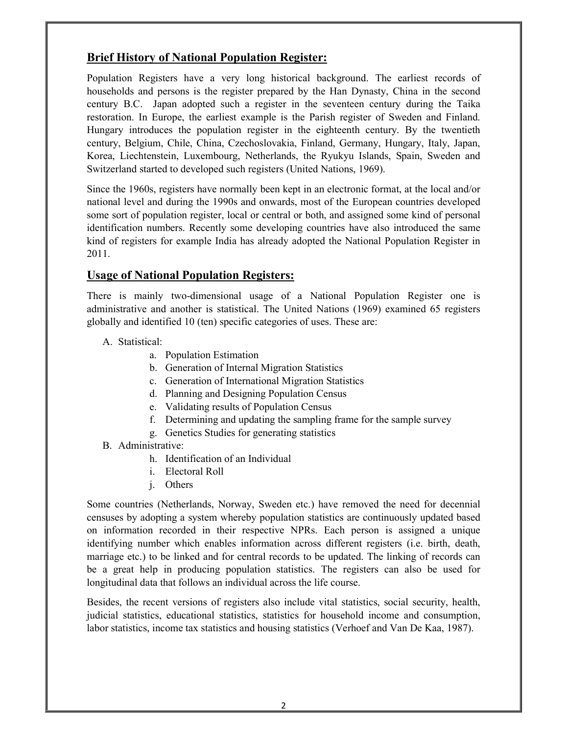## **Brief History of National Population Register:**

Population Registers have a very long historical background. The earliest records of households and persons is the register prepared by the Han Dynasty, China in the second century B.C. Japan adopted such a register in the seventeen century during the Taika restoration. In Europe, the earliest example is the Parish register of Sweden and Finland. Hungary introduces the population register in the eighteenth century. By the twentieth century, Belgium, Chile, China, Czechoslovakia, Finland, Germany, Hungary, Italy, Japan, Korea, Liechtenstein, Luxembourg, Netherlands, the Ryukyu Islands, Spain, Sweden and Switzerland started to developed such registers (United Nations, 1969).

Since the 1960s, registers have normally been kept in an electronic format, at the local and/or national level and during the 1990s and onwards, most of the European countries developed some sort of population register, local or central or both, and assigned some kind of personal identification numbers. Recently some developing countries have also introduced the same kind of registers for example India has already adopted the National Population Register in 2011.

## **Usage of National Population Registers:**

There is mainly two-dimensional usage of a National Population Register one is administrative and another is statistical. The United Nations (1969) examined 65 registers globally and identified 10 (ten) specific categories of uses. These are:

- A. Statistical:
	- a. Population Estimation
	- b. Generation of Internal Migration Statistics
	- c. Generation of International Migration Statistics
	- d. Planning and Designing Population Census
	- e. Validating results of Population Census
	- f. Determining and updating the sampling frame for the sample survey
	- g. Genetics Studies for generating statistics
- B. Administrative:
	- h. Identification of an Individual
	- i. Electoral Roll
	- j. Others

Some countries (Netherlands, Norway, Sweden etc.) have removed the need for decennial censuses by adopting a system whereby population statistics are continuously updated based on information recorded in their respective NPRs. Each person is assigned a unique identifying number which enables information across different registers (i.e. birth, death, marriage etc.) to be linked and for central records to be updated. The linking of records can be a great help in producing population statistics. The registers can also be used for longitudinal data that follows an individual across the life course.

Besides, the recent versions of registers also include vital statistics, social security, health, judicial statistics, educational statistics, statistics for household income and consumption, labor statistics, income tax statistics and housing statistics (Verhoef and Van De Kaa, 1987).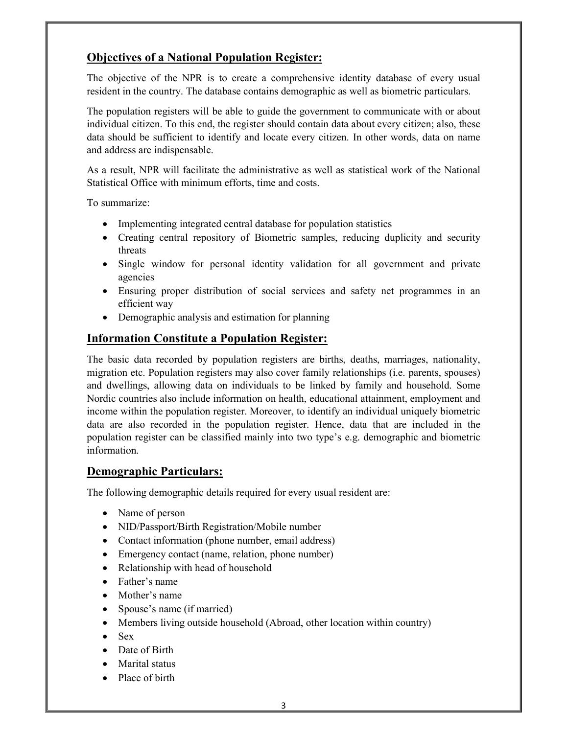## **Objectives of a National Population Register:**

The objective of the NPR is to create a comprehensive identity database of every usual resident in the country. The database contains demographic as well as biometric particulars.

The population registers will be able to guide the government to communicate with or about individual citizen. To this end, the register should contain data about every citizen; also, these data should be sufficient to identify and locate every citizen. In other words, data on name and address are indispensable.

As a result, NPR will facilitate the administrative as well as statistical work of the National Statistical Office with minimum efforts, time and costs.

To summarize:

- Implementing integrated central database for population statistics
- Creating central repository of Biometric samples, reducing duplicity and security threats
- Single window for personal identity validation for all government and private agencies
- Ensuring proper distribution of social services and safety net programmes in an efficient way
- Demographic analysis and estimation for planning

## **Information Constitute a Population Register:**

The basic data recorded by population registers are births, deaths, marriages, nationality, migration etc. Population registers may also cover family relationships (i.e. parents, spouses) and dwellings, allowing data on individuals to be linked by family and household. Some Nordic countries also include information on health, educational attainment, employment and income within the population register. Moreover, to identify an individual uniquely biometric data are also recorded in the population register. Hence, data that are included in the population register can be classified mainly into two type's e.g. demographic and biometric information.

#### **Demographic Particulars:**

The following demographic details required for every usual resident are:

- Name of person
- NID/Passport/Birth Registration/Mobile number
- Contact information (phone number, email address)
- Emergency contact (name, relation, phone number)
- Relationship with head of household
- Father's name
- Mother's name
- Spouse's name (if married)
- Members living outside household (Abroad, other location within country)
- Sex
- Date of Birth
- Marital status
- Place of birth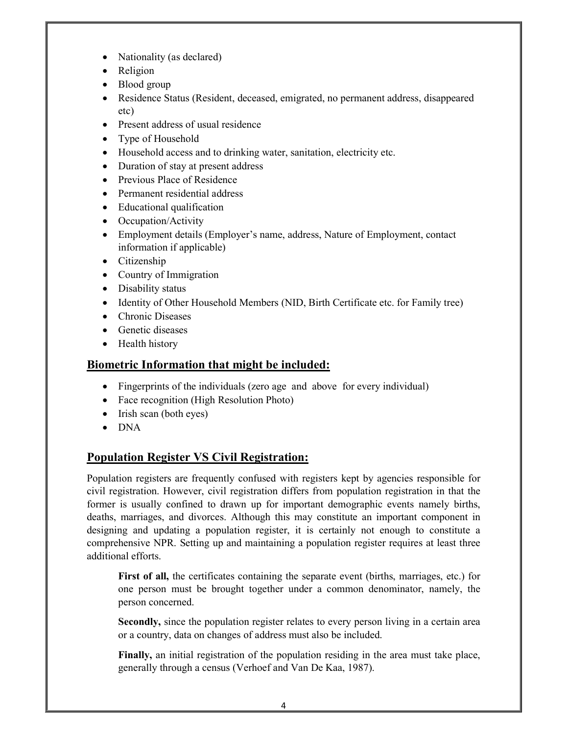- Nationality (as declared)
- Religion
- Blood group
- Residence Status (Resident, deceased, emigrated, no permanent address, disappeared etc)
- Present address of usual residence
- Type of Household
- Household access and to drinking water, sanitation, electricity etc.
- Duration of stay at present address
- Previous Place of Residence
- Permanent residential address
- Educational qualification
- Occupation/Activity
- Employment details (Employer's name, address, Nature of Employment, contact information if applicable)
- Citizenship
- Country of Immigration
- Disability status
- Identity of Other Household Members (NID, Birth Certificate etc. for Family tree)
- Chronic Diseases
- Genetic diseases
- Health history

## **Biometric Information that might be included:**

- Fingerprints of the individuals (zero age and above for every individual)
- Face recognition (High Resolution Photo)
- $\bullet$  Irish scan (both eyes)
- DNA

## **Population Register VS Civil Registration:**

Population registers are frequently confused with registers kept by agencies responsible for civil registration. However, civil registration differs from population registration in that the former is usually confined to drawn up for important demographic events namely births, deaths, marriages, and divorces. Although this may constitute an important component in designing and updating a population register, it is certainly not enough to constitute a comprehensive NPR. Setting up and maintaining a population register requires at least three additional efforts.

**First of all,** the certificates containing the separate event (births, marriages, etc.) for one person must be brought together under a common denominator, namely, the person concerned.

**Secondly,** since the population register relates to every person living in a certain area or a country, data on changes of address must also be included.

**Finally,** an initial registration of the population residing in the area must take place, generally through a census (Verhoef and Van De Kaa, 1987).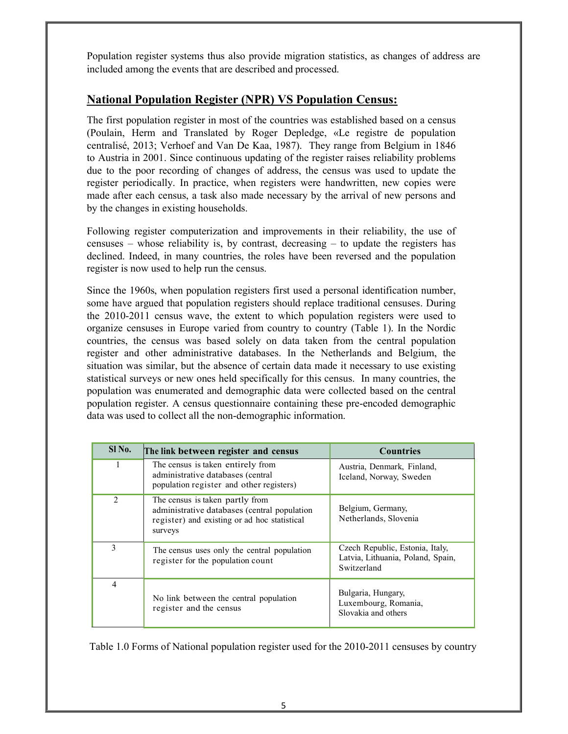Population register systems thus also provide migration statistics, as changes of address are included among the events that are described and processed.

#### **National Population Register (NPR) VS Population Census:**

The first population register in most of the countries was established based on a census (Poulain, Herm and Translated by Roger Depledge, «Le registre de population centralisé, 2013; Verhoef and Van De Kaa, 1987). They range from Belgium in 1846 to Austria in 2001. Since continuous updating of the register raises reliability problems due to the poor recording of changes of address, the census was used to update the register periodically. In practice, when registers were handwritten, new copies were made after each census, a task also made necessary by the arrival of new persons and by the changes in existing households.

Following register computerization and improvements in their reliability, the use of censuses – whose reliability is, by contrast, decreasing – to update the registers has declined. Indeed, in many countries, the roles have been reversed and the population register is now used to help run the census.

Since the 1960s, when population registers first used a personal identification number, some have argued that population registers should replace traditional censuses. During the 2010-2011 census wave, the extent to which population registers were used to organize censuses in Europe varied from country to country (Table 1). In the Nordic countries, the census was based solely on data taken from the central population register and other administrative databases. In the Netherlands and Belgium, the situation was similar, but the absence of certain data made it necessary to use existing statistical surveys or new ones held specifically for this census. In many countries, the population was enumerated and demographic data were collected based on the central population register. A census questionnaire containing these pre-encoded demographic data was used to collect all the non-demographic information.

| $S1$ No.      | The link between register and census                                                                                                       | <b>Countries</b>                                                                    |
|---------------|--------------------------------------------------------------------------------------------------------------------------------------------|-------------------------------------------------------------------------------------|
|               | The census is taken entirely from<br>administrative databases (central<br>population register and other registers)                         | Austria, Denmark, Finland,<br>Iceland, Norway, Sweden                               |
| $\mathcal{L}$ | The census is taken partly from<br>administrative databases (central population<br>register) and existing or ad hoc statistical<br>surveys | Belgium, Germany,<br>Netherlands, Slovenia                                          |
| 3             | The census uses only the central population<br>register for the population count                                                           | Czech Republic, Estonia, Italy,<br>Latvia, Lithuania, Poland, Spain,<br>Switzerland |
| 4             | No link between the central population<br>register and the census                                                                          | Bulgaria, Hungary,<br>Luxembourg, Romania,<br>Slovakia and others                   |

Table 1.0 Forms of National population register used for the 2010-2011 censuses by country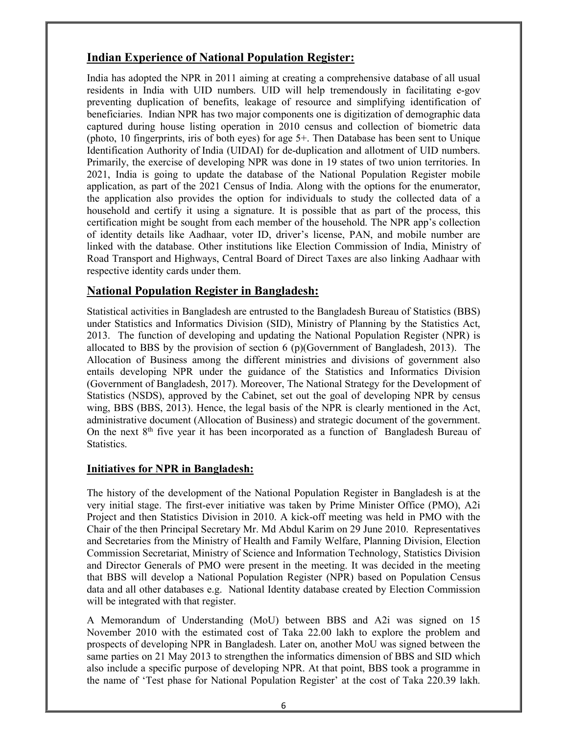## **Indian Experience of National Population Register:**

India has adopted the NPR in 2011 aiming at creating a comprehensive database of all usual residents in India with UID numbers. UID will help tremendously in facilitating e-gov preventing duplication of benefits, leakage of resource and simplifying identification of beneficiaries. Indian NPR has two major components one is digitization of demographic data captured during house listing operation in 2010 census and collection of biometric data (photo, 10 fingerprints, iris of both eyes) for age 5+. Then Database has been sent to Unique Identification Authority of India (UIDAI) for de-duplication and allotment of UID numbers. Primarily, the exercise of developing NPR was done in 19 states of two union territories. In 2021, India is going to update the database of the National Population Register mobile application, as part of the 2021 Census of India. Along with the options for the enumerator, the application also provides the option for individuals to study the collected data of a household and certify it using a signature. It is possible that as part of the process, this certification might be sought from each member of the household. The NPR app's collection of identity details like Aadhaar, voter ID, driver's license, PAN, and mobile number are linked with the database. Other institutions like Election Commission of India, Ministry of Road Transport and Highways, Central Board of Direct Taxes are also linking Aadhaar with respective identity cards under them.

#### **National Population Register in Bangladesh:**

Statistical activities in Bangladesh are entrusted to the Bangladesh Bureau of Statistics (BBS) under Statistics and Informatics Division (SID), Ministry of Planning by the Statistics Act, 2013. The function of developing and updating the National Population Register (NPR) is allocated to BBS by the provision of section 6 (p)(Government of Bangladesh, 2013). The Allocation of Business among the different ministries and divisions of government also entails developing NPR under the guidance of the Statistics and Informatics Division (Government of Bangladesh, 2017). Moreover, The National Strategy for the Development of Statistics (NSDS), approved by the Cabinet, set out the goal of developing NPR by census wing, BBS (BBS, 2013). Hence, the legal basis of the NPR is clearly mentioned in the Act, administrative document (Allocation of Business) and strategic document of the government. On the next  $8<sup>th</sup>$  five year it has been incorporated as a function of Bangladesh Bureau of Statistics.

#### **Initiatives for NPR in Bangladesh:**

The history of the development of the National Population Register in Bangladesh is at the very initial stage. The first-ever initiative was taken by Prime Minister Office (PMO), A2i Project and then Statistics Division in 2010. A kick-off meeting was held in PMO with the Chair of the then Principal Secretary Mr. Md Abdul Karim on 29 June 2010. Representatives and Secretaries from the Ministry of Health and Family Welfare, Planning Division, Election Commission Secretariat, Ministry of Science and Information Technology, Statistics Division and Director Generals of PMO were present in the meeting. It was decided in the meeting that BBS will develop a National Population Register (NPR) based on Population Census data and all other databases e.g. National Identity database created by Election Commission will be integrated with that register.

A Memorandum of Understanding (MoU) between BBS and A2i was signed on 15 November 2010 with the estimated cost of Taka 22.00 lakh to explore the problem and prospects of developing NPR in Bangladesh. Later on, another MoU was signed between the same parties on 21 May 2013 to strengthen the informatics dimension of BBS and SID which also include a specific purpose of developing NPR. At that point, BBS took a programme in the name of 'Test phase for National Population Register' at the cost of Taka 220.39 lakh.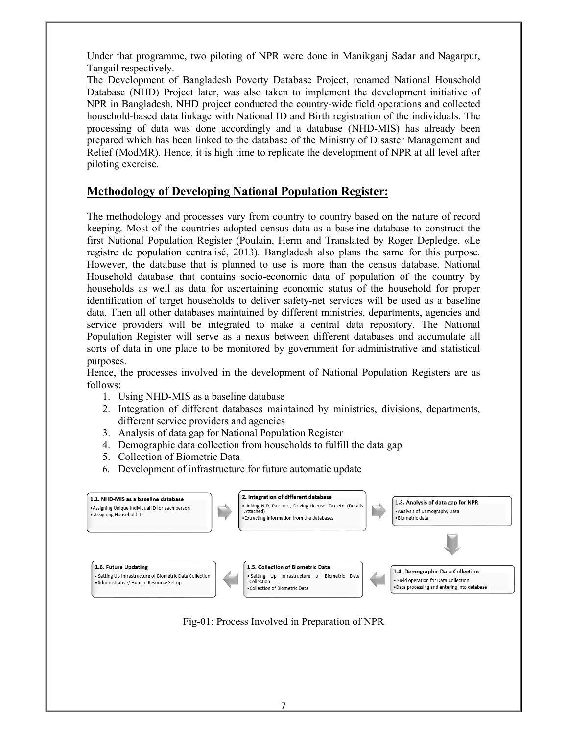Under that programme, two piloting of NPR were done in Manikganj Sadar and Nagarpur, Tangail respectively.

The Development of Bangladesh Poverty Database Project, renamed National Household Database (NHD) Project later, was also taken to implement the development initiative of NPR in Bangladesh. NHD project conducted the country-wide field operations and collected household-based data linkage with National ID and Birth registration of the individuals. The processing of data was done accordingly and a database (NHD-MIS) has already been prepared which has been linked to the database of the Ministry of Disaster Management and Relief (ModMR). Hence, it is high time to replicate the development of NPR at all level after piloting exercise.

## **Methodology of Developing National Population Register:**

The methodology and processes vary from country to country based on the nature of record keeping. Most of the countries adopted census data as a baseline database to construct the first National Population Register (Poulain, Herm and Translated by Roger Depledge, «Le registre de population centralisé, 2013). Bangladesh also plans the same for this purpose. However, the database that is planned to use is more than the census database. National Household database that contains socio-economic data of population of the country by households as well as data for ascertaining economic status of the household for proper identification of target households to deliver safety-net services will be used as a baseline data. Then all other databases maintained by different ministries, departments, agencies and service providers will be integrated to make a central data repository. The National Population Register will serve as a nexus between different databases and accumulate all sorts of data in one place to be monitored by government for administrative and statistical purposes.

Hence, the processes involved in the development of National Population Registers are as follows:

- 1. Using NHD-MIS as a baseline database
- 2. Integration of different databases maintained by ministries, divisions, departments, different service providers and agencies
- 3. Analysis of data gap for National Population Register
- 4. Demographic data collection from households to fulfill the data gap
- 5. Collection of Biometric Data
- 6. Development of infrastructure for future automatic update



Fig-01: Process Involved in Preparation of NPR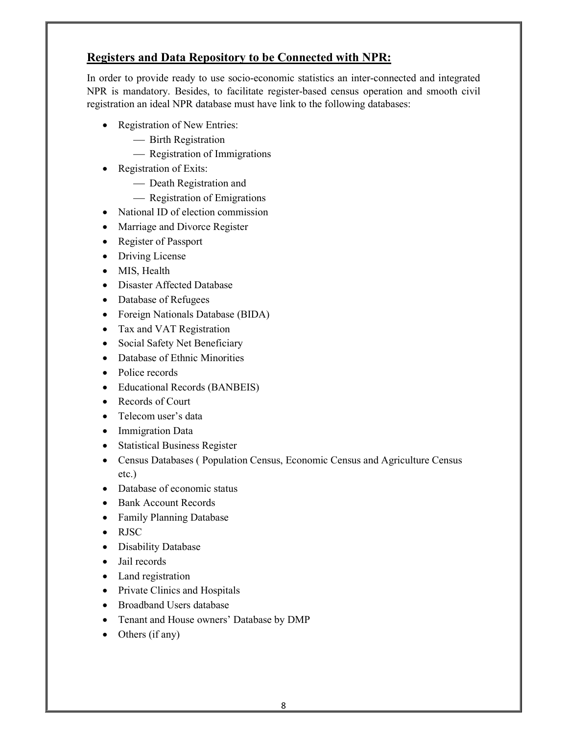## **Registers and Data Repository to be Connected with NPR:**

In order to provide ready to use socio-economic statistics an inter-connected and integrated NPR is mandatory. Besides, to facilitate register-based census operation and smooth civil registration an ideal NPR database must have link to the following databases:

- Registration of New Entries:
	- Birth Registration
	- Registration of Immigrations
- Registration of Exits:
	- Death Registration and
	- Registration of Emigrations
- National ID of election commission
- Marriage and Divorce Register
- Register of Passport
- Driving License
- MIS, Health
- Disaster Affected Database
- Database of Refugees
- Foreign Nationals Database (BIDA)
- Tax and VAT Registration
- Social Safety Net Beneficiary
- Database of Ethnic Minorities
- Police records
- Educational Records (BANBEIS)
- Records of Court
- Telecom user's data
- Immigration Data
- Statistical Business Register
- Census Databases ( Population Census, Economic Census and Agriculture Census etc.)
- Database of economic status
- Bank Account Records
- Family Planning Database
- RJSC
- Disability Database
- Jail records
- Land registration
- Private Clinics and Hospitals
- Broadband Users database
- Tenant and House owners' Database by DMP
- $\bullet$  Others (if any)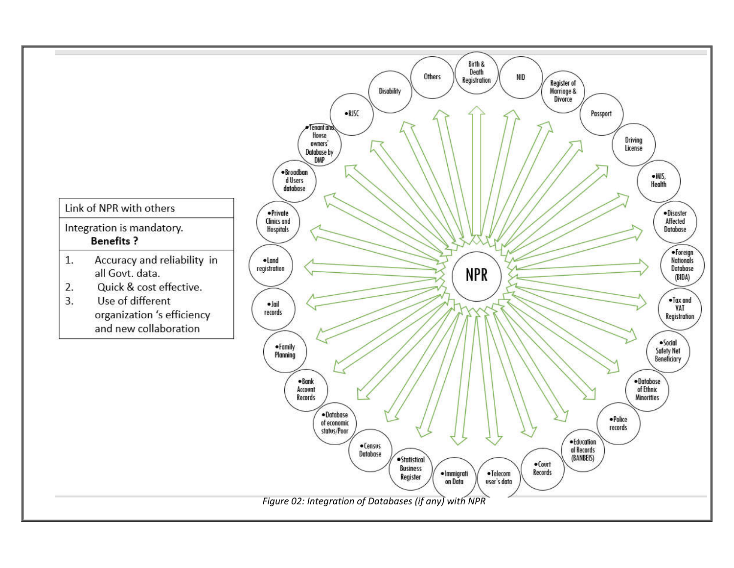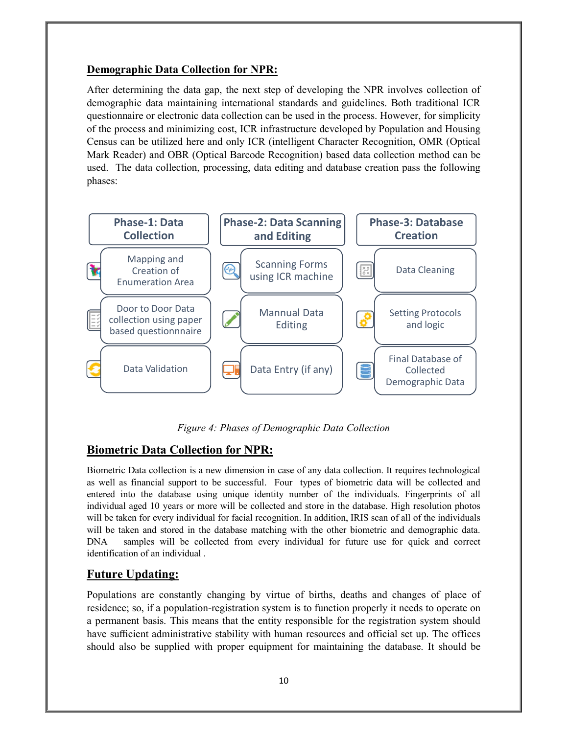#### **Demographic Data Collection for NPR:**

After determining the data gap, the next step of developing the NPR involves collection of demographic data maintaining international standards and guidelines. Both traditional ICR questionnaire or electronic data collection can be used in the process. However, for simplicity of the process and minimizing cost, ICR infrastructure developed by Population and Housing Census can be utilized here and only ICR (intelligent Character Recognition, OMR (Optical Mark Reader) and OBR (Optical Barcode Recognition) based data collection method can be used. The data collection, processing, data editing and database creation pass the following phases:



*Figure 4: Phases of Demographic Data Collection*

## **Biometric Data Collection for NPR:**

Biometric Data collection is a new dimension in case of any data collection. It requires technological as well as financial support to be successful. Four types of biometric data will be collected and entered into the database using unique identity number of the individuals. Fingerprints of all individual aged 10 years or more will be collected and store in the database. High resolution photos will be taken for every individual for facial recognition. In addition, IRIS scan of all of the individuals will be taken and stored in the database matching with the other biometric and demographic data. DNA samples will be collected from every individual for future use for quick and correct identification of an individual .

#### **Future Updating:**

Populations are constantly changing by virtue of births, deaths and changes of place of residence; so, if a population-registration system is to function properly it needs to operate on a permanent basis. This means that the entity responsible for the registration system should have sufficient administrative stability with human resources and official set up. The offices should also be supplied with proper equipment for maintaining the database. It should be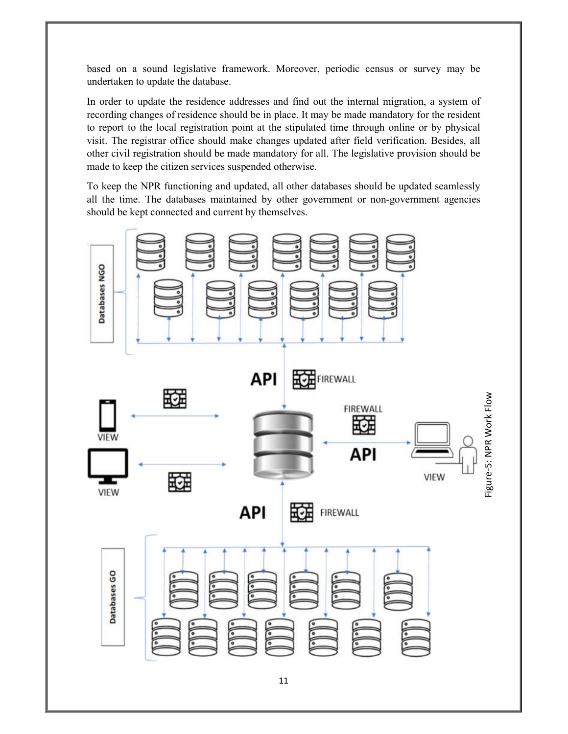based on a sound legislative framework. Moreover, periodic census or survey may be undertaken to update the database.

In order to update the residence addresses and find out the internal migration, a system of recording changes of residence should be in place. It may be made mandatory for the resident to report to the local registration point at the stipulated time through online or by physical visit. The registrar office should make changes updated after field verification. Besides, all other civil registration should be made mandatory for all. The legislative provision should be made to keep the citizen services suspended otherwise.

To keep the NPR functioning and updated, all other databases should be updated seamlessly all the time. The databases maintained by other government or non-government agencies should be kept connected and current by themselves.

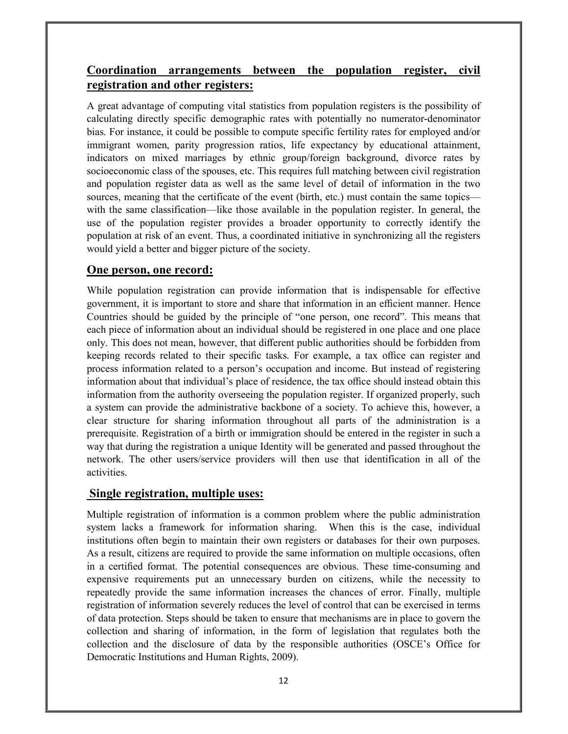## **Coordination arrangements between the population register, civil registration and other registers:**

A great advantage of computing vital statistics from population registers is the possibility of calculating directly specific demographic rates with potentially no numerator-denominator bias. For instance, it could be possible to compute specific fertility rates for employed and/or immigrant women, parity progression ratios, life expectancy by educational attainment, indicators on mixed marriages by ethnic group/foreign background, divorce rates by socioeconomic class of the spouses, etc. This requires full matching between civil registration and population register data as well as the same level of detail of information in the two sources, meaning that the certificate of the event (birth, etc.) must contain the same topics with the same classification—like those available in the population register. In general, the use of the population register provides a broader opportunity to correctly identify the population at risk of an event. Thus, a coordinated initiative in synchronizing all the registers would yield a better and bigger picture of the society.

#### **One person, one record:**

While population registration can provide information that is indispensable for effective government, it is important to store and share that information in an efficient manner. Hence Countries should be guided by the principle of "one person, one record". This means that each piece of information about an individual should be registered in one place and one place only. This does not mean, however, that different public authorities should be forbidden from keeping records related to their specific tasks. For example, a tax office can register and process information related to a person's occupation and income. But instead of registering information about that individual's place of residence, the tax office should instead obtain this information from the authority overseeing the population register. If organized properly, such a system can provide the administrative backbone of a society. To achieve this, however, a clear structure for sharing information throughout all parts of the administration is a prerequisite. Registration of a birth or immigration should be entered in the register in such a way that during the registration a unique Identity will be generated and passed throughout the network. The other users/service providers will then use that identification in all of the activities.

#### **Single registration, multiple uses:**

Multiple registration of information is a common problem where the public administration system lacks a framework for information sharing. When this is the case, individual institutions often begin to maintain their own registers or databases for their own purposes. As a result, citizens are required to provide the same information on multiple occasions, often in a certified format. The potential consequences are obvious. These time-consuming and expensive requirements put an unnecessary burden on citizens, while the necessity to repeatedly provide the same information increases the chances of error. Finally, multiple registration of information severely reduces the level of control that can be exercised in terms of data protection. Steps should be taken to ensure that mechanisms are in place to govern the collection and sharing of information, in the form of legislation that regulates both the collection and the disclosure of data by the responsible authorities (OSCE's Office for Democratic Institutions and Human Rights, 2009).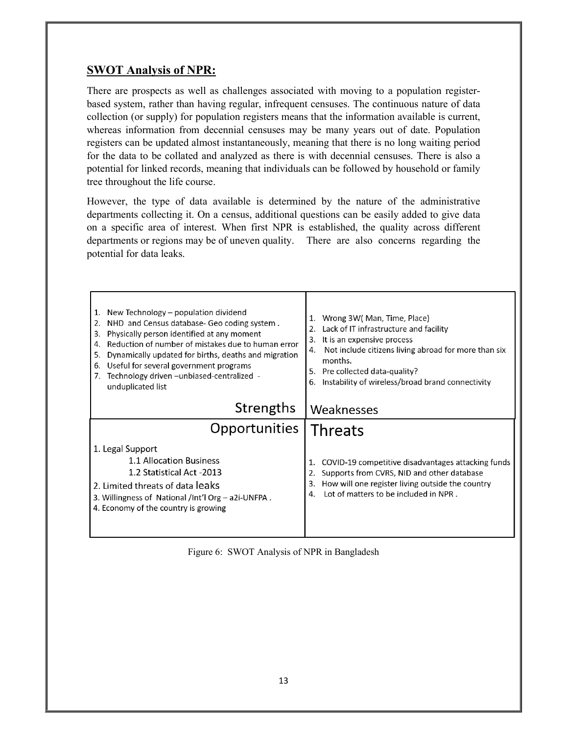## **SWOT Analysis of NPR:**

There are prospects as well as challenges associated with moving to a population registerbased system, rather than having regular, infrequent censuses. The continuous nature of data collection (or supply) for population registers means that the information available is current, whereas information from decennial censuses may be many years out of date. Population registers can be updated almost instantaneously, meaning that there is no long waiting period for the data to be collated and analyzed as there is with decennial censuses. There is also a potential for linked records, meaning that individuals can be followed by household or family tree throughout the life course.

However, the type of data available is determined by the nature of the administrative departments collecting it. On a census, additional questions can be easily added to give data on a specific area of interest. When first NPR is established, the quality across different departments or regions may be of uneven quality. There are also concerns regarding the potential for data leaks.

| New Technology – population dividend<br>1.<br>NHD and Census database- Geo coding system.<br>2.<br>Physically person identified at any moment<br>3.<br>Reduction of number of mistakes due to human error<br>4.<br>Dynamically updated for births, deaths and migration<br>5.<br>Useful for several government programs<br>6.<br>Technology driven - unbiased-centralized -<br>unduplicated list | 1. Wrong 3W (Man, Time, Place)<br>2. Lack of IT infrastructure and facility<br>It is an expensive process<br>3.<br>Not include citizens living abroad for more than six<br>4.<br>months.<br>5. Pre collected data-quality?<br>Instability of wireless/broad brand connectivity<br>6. |
|--------------------------------------------------------------------------------------------------------------------------------------------------------------------------------------------------------------------------------------------------------------------------------------------------------------------------------------------------------------------------------------------------|--------------------------------------------------------------------------------------------------------------------------------------------------------------------------------------------------------------------------------------------------------------------------------------|
| Strengths                                                                                                                                                                                                                                                                                                                                                                                        | Weaknesses                                                                                                                                                                                                                                                                           |
| Opportunities                                                                                                                                                                                                                                                                                                                                                                                    | <b>Threats</b>                                                                                                                                                                                                                                                                       |
| 1. Legal Support<br>1.1 Allocation Business<br>1.2 Statistical Act -2013<br>2. Limited threats of data leaks<br>3. Willingness of National /Int'l Org – a 2i-UNFPA.<br>4. Economy of the country is growing                                                                                                                                                                                      | COVID-19 competitive disadvantages attacking funds<br>Supports from CVRS, NID and other database<br>How will one register living outside the country<br>3.<br>Lot of matters to be included in NPR.                                                                                  |

Figure 6: SWOT Analysis of NPR in Bangladesh